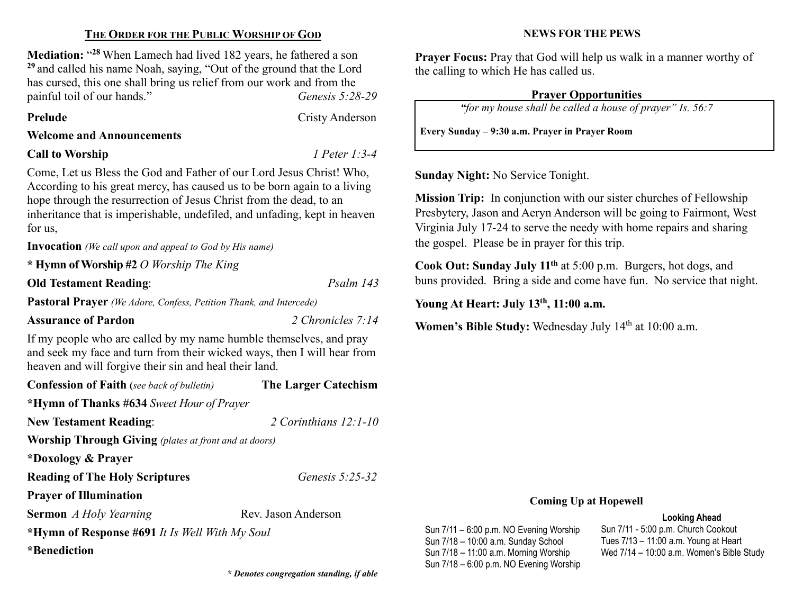### THE ORDER FOR THE PUBLIC WORSHIP OF GOD

Mediation: "28 When Lamech had lived 182 years, he fathered a son  $29$  and called his name Noah, saying, "Out of the ground that the Lord has cursed, this one shall bring us relief from our work and from the painful toil of our hands." Genesis 5:28-29

#### Prelude Cristy Anderson

Welcome and Announcements

#### Call to Worship *I Peter 1:3-4*

Come, Let us Bless the God and Father of our Lord Jesus Christ! Who, According to his great mercy, has caused us to be born again to a living hope through the resurrection of Jesus Christ from the dead, to an inheritance that is imperishable, undefiled, and unfading, kept in heaven for us,

Invocation (We call upon and appeal to God by His name)

\* Hymn of Worship #2 O Worship The King

Old Testament Reading: Psalm 143

Pastoral Prayer (We Adore, Confess, Petition Thank, and Intercede)

### Assurance of Pardon 2 Chronicles 7:14

If my people who are called by my name humble themselves, and pray and seek my face and turn from their wicked ways, then I will hear from heaven and will forgive their sin and heal their land.

| <b>The Larger Catechism</b>                                  |  |  |  |  |
|--------------------------------------------------------------|--|--|--|--|
|                                                              |  |  |  |  |
| 2 Corinthians $12:1-10$                                      |  |  |  |  |
| <b>Worship Through Giving</b> (plates at front and at doors) |  |  |  |  |
|                                                              |  |  |  |  |
| Genesis $5:25-32$                                            |  |  |  |  |
|                                                              |  |  |  |  |
| Rev. Jason Anderson                                          |  |  |  |  |
| *Hymn of Response #691 It Is Well With My Soul               |  |  |  |  |
|                                                              |  |  |  |  |
|                                                              |  |  |  |  |

\* Denotes congregation standing, if able

#### NEWS FOR THE PEWS

Prayer Focus: Pray that God will help us walk in a manner worthy of the calling to which He has called us.

# Prayer Opportunities

"for my house shall be called a house of prayer" Is. 56:7

Every Sunday – 9:30 a.m. Prayer in Prayer Room

Sunday Night: No Service Tonight.

Mission Trip: In conjunction with our sister churches of Fellowship Presbytery, Jason and Aeryn Anderson will be going to Fairmont, West Virginia July 17-24 to serve the needy with home repairs and sharing the gospel. Please be in prayer for this trip.

Cook Out: Sunday July 11th at 5:00 p.m. Burgers, hot dogs, and buns provided. Bring a side and come have fun. No service that night.

Young At Heart: July 13<sup>th</sup>, 11:00 a.m.

Sun 7/11 – 6:00 p.m. NO Evening Worship Sun 7/18 – 10:00 a.m. Sunday School Sun 7/18 – 11:00 a.m. Morning Worship Sun 7/18 – 6:00 p.m. NO Evening Worship

Women's Bible Study: Wednesday July 14<sup>th</sup> at 10:00 a.m.

### Coming Up at Hopewell

## Looking Ahead

Sun 7/11 - 5:00 p.m. Church Cookout Tues 7/13 – 11:00 a.m. Young at Heart Wed 7/14 – 10:00 a.m. Women's Bible Study